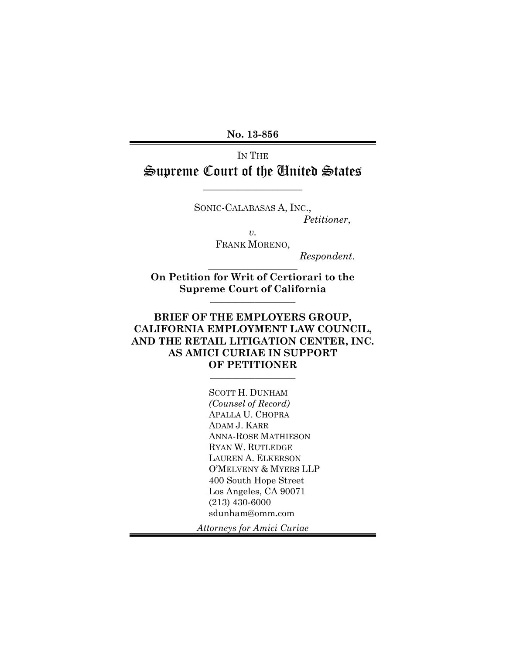**No. 13-856** 

# IN THE Supreme Court of the United States

 $\overline{\phantom{a}}$  , where  $\overline{\phantom{a}}$  , where  $\overline{\phantom{a}}$ 

SONIC-CALABASAS A, INC., *Petitioner*,

> *v.*  FRANK MORENO,

> > *Respondent*.

**On Petition for Writ of Certiorari to the Supreme Court of California**  $\_$ 

 $\frac{1}{2}$  ,  $\frac{1}{2}$  ,  $\frac{1}{2}$  ,  $\frac{1}{2}$  ,  $\frac{1}{2}$  ,  $\frac{1}{2}$  ,  $\frac{1}{2}$  ,  $\frac{1}{2}$  ,  $\frac{1}{2}$  ,  $\frac{1}{2}$  ,  $\frac{1}{2}$ 

## **BRIEF OF THE EMPLOYERS GROUP, CALIFORNIA EMPLOYMENT LAW COUNCIL, AND THE RETAIL LITIGATION CENTER, INC. AS AMICI CURIAE IN SUPPORT OF PETITIONER**

 $\_$ 

SCOTT H. DUNHAM *(Counsel of Record)* APALLA U. CHOPRA ADAM J. KARR ANNA-ROSE MATHIESON RYAN W. RUTLEDGE LAUREN A. ELKERSON O'MELVENY & MYERS LLP 400 South Hope Street Los Angeles, CA 90071 (213) 430-6000 sdunham@omm.com

*Attorneys for Amici Curiae*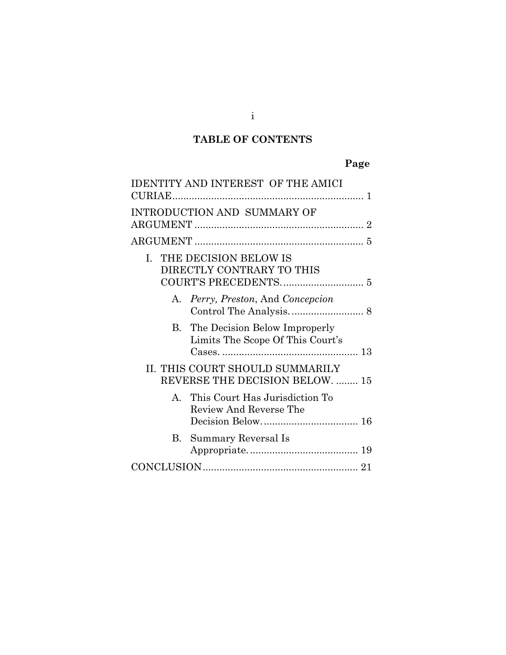# **TABLE OF CONTENTS**

# **Page**

| <b>IDENTITY AND INTEREST OF THE AMICI</b>                            |
|----------------------------------------------------------------------|
| <b>INTRODUCTION AND SUMMARY OF</b>                                   |
|                                                                      |
| I. THE DECISION BELOW IS<br>DIRECTLY CONTRARY TO THIS                |
| A. Perry, Preston, And Concepcion                                    |
| B. The Decision Below Improperly<br>Limits The Scope Of This Court's |
| II. THIS COURT SHOULD SUMMARILY<br>REVERSE THE DECISION BELOW.  15   |
| A. This Court Has Jurisdiction To<br>Review And Reverse The          |
| B. Summary Reversal Is                                               |
|                                                                      |

i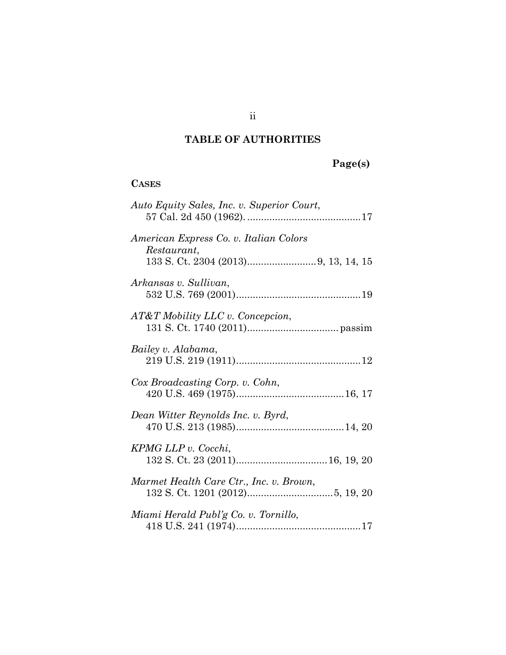# **TABLE OF AUTHORITIES**

# **Page(s)**

## **CASES**

| Auto Equity Sales, Inc. v. Superior Court,            |
|-------------------------------------------------------|
| American Express Co. v. Italian Colors<br>Restaurant, |
| Arkansas v. Sullivan,                                 |
| AT&T Mobility LLC v. Concepcion,                      |
| Bailey v. Alabama,                                    |
| Cox Broadcasting Corp. v. Cohn,                       |
| Dean Witter Reynolds Inc. v. Byrd,                    |
| KPMG LLP v. Cocchi,                                   |
| Marmet Health Care Ctr., Inc. v. Brown,               |
| Miami Herald Publ'g Co. v. Tornillo,                  |

ii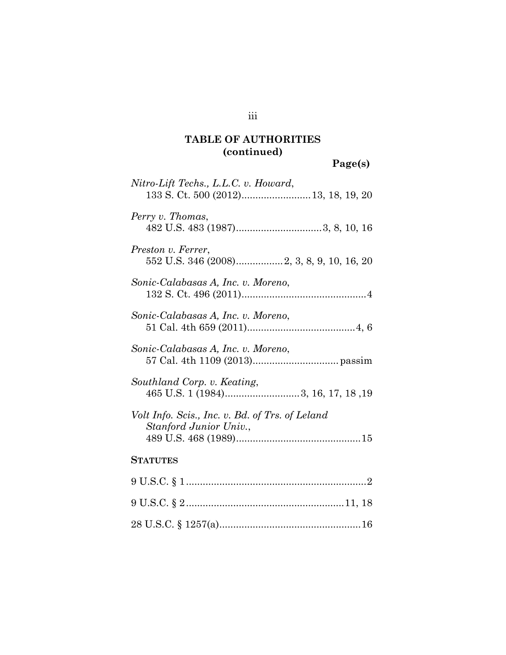# **TABLE OF AUTHORITIES (continued)**

**Page(s)**

| Nitro-Lift Techs., L.L.C. v. Howard,<br>133 S. Ct. 500 (2012) 13, 18, 19, 20 |
|------------------------------------------------------------------------------|
| Perry v. Thomas,                                                             |
| Preston v. Ferrer,<br>552 U.S. 346 (2008)2, 3, 8, 9, 10, 16, 20              |
| Sonic-Calabasas A, Inc. v. Moreno,                                           |
| Sonic-Calabasas A, Inc. v. Moreno,                                           |
| Sonic-Calabasas A, Inc. v. Moreno,                                           |
| Southland Corp. v. Keating,<br>465 U.S. 1 (1984)3, 16, 17, 18, 19            |
| Volt Info. Scis., Inc. v. Bd. of Trs. of Leland<br>Stanford Junior Univ.,    |
| <b>STATUTES</b>                                                              |
|                                                                              |
|                                                                              |
|                                                                              |

iii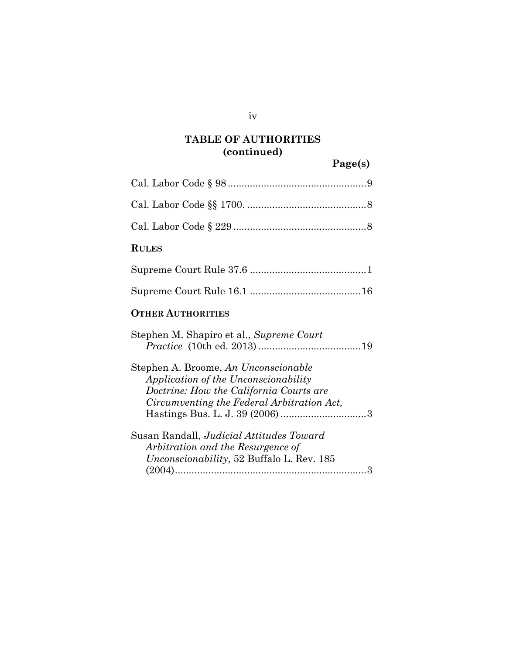# **TABLE OF AUTHORITIES (continued)**

**Page(s)**

| <b>RULES</b>                                                                                                                                                          |
|-----------------------------------------------------------------------------------------------------------------------------------------------------------------------|
|                                                                                                                                                                       |
|                                                                                                                                                                       |
| <b>OTHER AUTHORITIES</b>                                                                                                                                              |
| Stephen M. Shapiro et al., Supreme Court                                                                                                                              |
| Stephen A. Broome, An Unconscionable<br>Application of the Unconscionability<br>Doctrine: How the California Courts are<br>Circumventing the Federal Arbitration Act, |
| Susan Randall, Judicial Attitudes Toward<br>Arbitration and the Resurgence of<br>Unconscionability, 52 Buffalo L. Rev. 185                                            |

iv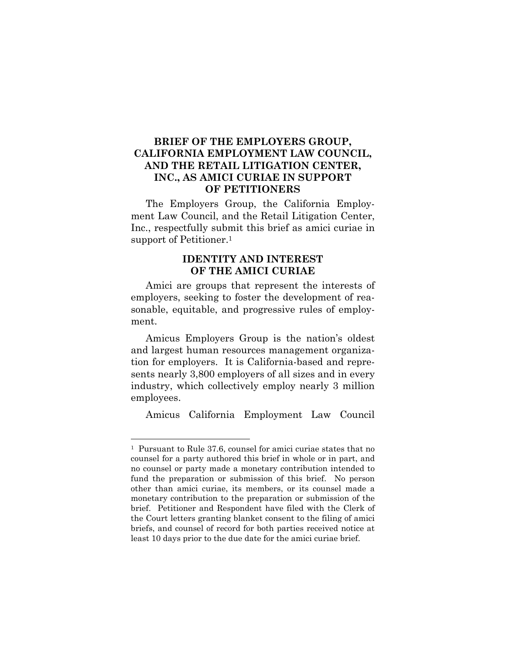## **BRIEF OF THE EMPLOYERS GROUP, CALIFORNIA EMPLOYMENT LAW COUNCIL, AND THE RETAIL LITIGATION CENTER, INC., AS AMICI CURIAE IN SUPPORT OF PETITIONERS**

The Employers Group, the California Employment Law Council, and the Retail Litigation Center, Inc., respectfully submit this brief as amici curiae in support of Petitioner.<sup>1</sup>

## **IDENTITY AND INTEREST OF THE AMICI CURIAE**

Amici are groups that represent the interests of employers, seeking to foster the development of reasonable, equitable, and progressive rules of employment.

Amicus Employers Group is the nation's oldest and largest human resources management organization for employers. It is California-based and represents nearly 3,800 employers of all sizes and in every industry, which collectively employ nearly 3 million employees.

Amicus California Employment Law Council

l

<sup>1</sup> Pursuant to Rule 37.6, counsel for amici curiae states that no counsel for a party authored this brief in whole or in part, and no counsel or party made a monetary contribution intended to fund the preparation or submission of this brief. No person other than amici curiae, its members, or its counsel made a monetary contribution to the preparation or submission of the brief. Petitioner and Respondent have filed with the Clerk of the Court letters granting blanket consent to the filing of amici briefs, and counsel of record for both parties received notice at least 10 days prior to the due date for the amici curiae brief.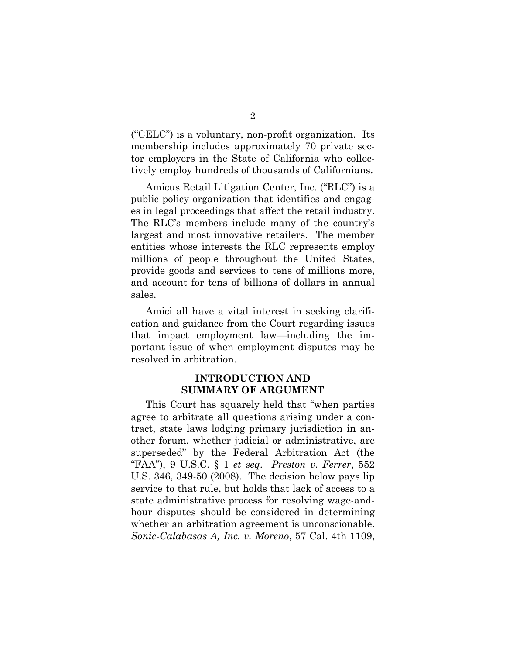("CELC") is a voluntary, non-profit organization. Its membership includes approximately 70 private sector employers in the State of California who collectively employ hundreds of thousands of Californians.

Amicus Retail Litigation Center, Inc. ("RLC") is a public policy organization that identifies and engages in legal proceedings that affect the retail industry. The RLC's members include many of the country's largest and most innovative retailers. The member entities whose interests the RLC represents employ millions of people throughout the United States, provide goods and services to tens of millions more, and account for tens of billions of dollars in annual sales.

Amici all have a vital interest in seeking clarification and guidance from the Court regarding issues that impact employment law—including the important issue of when employment disputes may be resolved in arbitration.

## **INTRODUCTION AND SUMMARY OF ARGUMENT**

This Court has squarely held that "when parties agree to arbitrate all questions arising under a contract, state laws lodging primary jurisdiction in another forum, whether judicial or administrative, are superseded" by the Federal Arbitration Act (the "FAA"), 9 U.S.C. § 1 *et seq*. *Preston v. Ferrer*, 552 U.S. 346, 349-50 (2008). The decision below pays lip service to that rule, but holds that lack of access to a state administrative process for resolving wage-andhour disputes should be considered in determining whether an arbitration agreement is unconscionable. *Sonic-Calabasas A, Inc. v. Moreno*, 57 Cal. 4th 1109,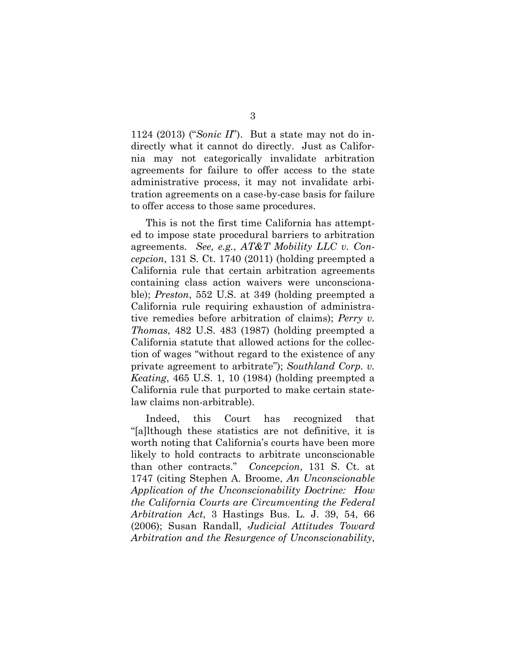1124 (2013) ("*Sonic II*"). But a state may not do indirectly what it cannot do directly. Just as California may not categorically invalidate arbitration agreements for failure to offer access to the state administrative process, it may not invalidate arbitration agreements on a case-by-case basis for failure to offer access to those same procedures.

This is not the first time California has attempted to impose state procedural barriers to arbitration agreements. *See, e.g.*, *AT&T Mobility LLC v. Concepcion*, 131 S. Ct. 1740 (2011) (holding preempted a California rule that certain arbitration agreements containing class action waivers were unconscionable); *Preston*, 552 U.S. at 349 (holding preempted a California rule requiring exhaustion of administrative remedies before arbitration of claims); *Perry v. Thomas*, 482 U.S. 483 (1987) (holding preempted a California statute that allowed actions for the collection of wages "without regard to the existence of any private agreement to arbitrate"); *Southland Corp. v. Keating*, 465 U.S. 1, 10 (1984) (holding preempted a California rule that purported to make certain statelaw claims non-arbitrable).

Indeed, this Court has recognized that "[a]lthough these statistics are not definitive, it is worth noting that California's courts have been more likely to hold contracts to arbitrate unconscionable than other contracts." *Concepcion*, 131 S. Ct. at 1747 (citing Stephen A. Broome, *An Unconscionable Application of the Unconscionability Doctrine: How the California Courts are Circumventing the Federal Arbitration Act*, 3 Hastings Bus. L. J. 39, 54, 66 (2006); Susan Randall, *Judicial Attitudes Toward Arbitration and the Resurgence of Unconscionability*,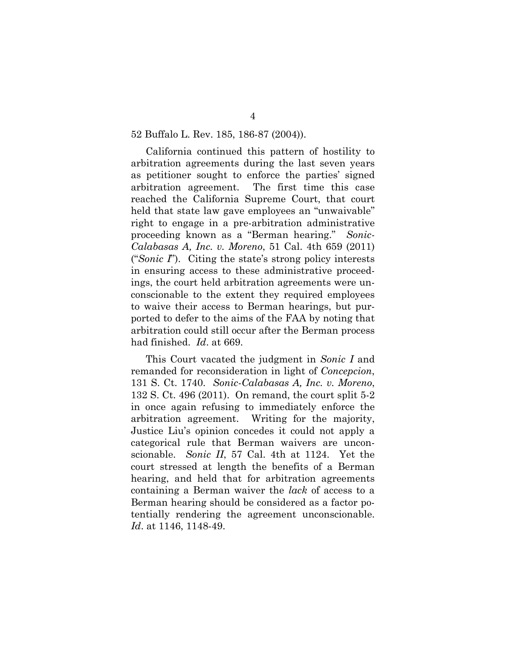#### 52 Buffalo L. Rev. 185, 186-87 (2004)).

California continued this pattern of hostility to arbitration agreements during the last seven years as petitioner sought to enforce the parties' signed arbitration agreement. The first time this case reached the California Supreme Court, that court held that state law gave employees an "unwaivable" right to engage in a pre-arbitration administrative proceeding known as a "Berman hearing." *Sonic-Calabasas A, Inc. v. Moreno*, 51 Cal. 4th 659 (2011) ("*Sonic I*"). Citing the state's strong policy interests in ensuring access to these administrative proceedings, the court held arbitration agreements were unconscionable to the extent they required employees to waive their access to Berman hearings, but purported to defer to the aims of the FAA by noting that arbitration could still occur after the Berman process had finished. *Id*. at 669.

This Court vacated the judgment in *Sonic I* and remanded for reconsideration in light of *Concepcion*, 131 S. Ct. 1740. *Sonic-Calabasas A, Inc. v. Moreno*, 132 S. Ct. 496 (2011).On remand, the court split 5-2 in once again refusing to immediately enforce the arbitration agreement. Writing for the majority, Justice Liu's opinion concedes it could not apply a categorical rule that Berman waivers are unconscionable. *Sonic II*, 57 Cal. 4th at 1124. Yet the court stressed at length the benefits of a Berman hearing, and held that for arbitration agreements containing a Berman waiver the *lack* of access to a Berman hearing should be considered as a factor potentially rendering the agreement unconscionable. *Id*. at 1146, 1148-49.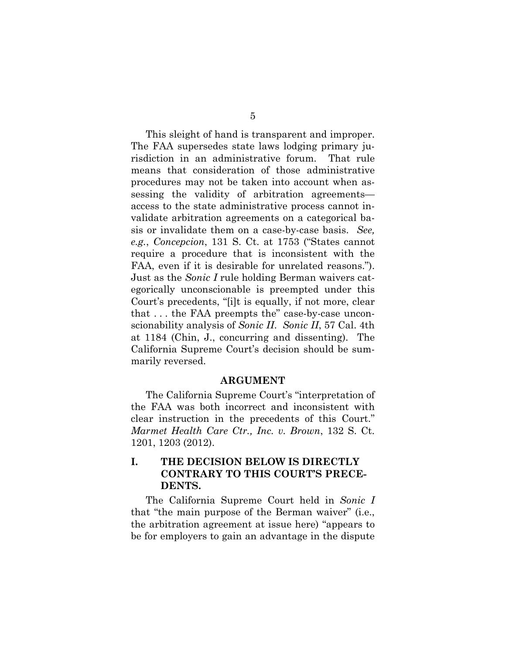This sleight of hand is transparent and improper. The FAA supersedes state laws lodging primary jurisdiction in an administrative forum. That rule means that consideration of those administrative procedures may not be taken into account when assessing the validity of arbitration agreements access to the state administrative process cannot invalidate arbitration agreements on a categorical basis or invalidate them on a case-by-case basis. *See, e.g.*, *Concepcion*, 131 S. Ct. at 1753 ("States cannot require a procedure that is inconsistent with the FAA, even if it is desirable for unrelated reasons."). Just as the *Sonic I* rule holding Berman waivers categorically unconscionable is preempted under this Court's precedents, "[i]t is equally, if not more, clear that . . . the FAA preempts the" case-by-case unconscionability analysis of *Sonic II*. *Sonic II*, 57 Cal. 4th at 1184 (Chin, J., concurring and dissenting). The California Supreme Court's decision should be summarily reversed.

### **ARGUMENT**

The California Supreme Court's "interpretation of the FAA was both incorrect and inconsistent with clear instruction in the precedents of this Court." *Marmet Health Care Ctr., Inc. v. Brown*, 132 S. Ct. 1201, 1203 (2012).

## **I. THE DECISION BELOW IS DIRECTLY CONTRARY TO THIS COURT'S PRECE-DENTS.**

The California Supreme Court held in *Sonic I* that "the main purpose of the Berman waiver" (i.e., the arbitration agreement at issue here) "appears to be for employers to gain an advantage in the dispute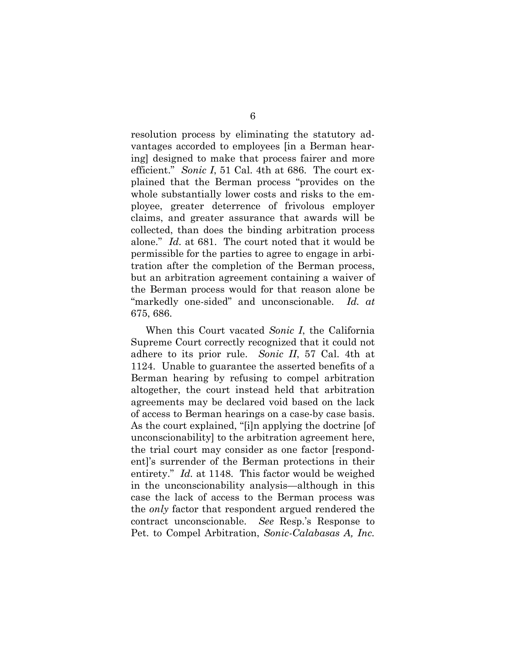resolution process by eliminating the statutory advantages accorded to employees [in a Berman hearing] designed to make that process fairer and more efficient." *Sonic I*, 51 Cal. 4th at 686. The court explained that the Berman process "provides on the whole substantially lower costs and risks to the employee, greater deterrence of frivolous employer claims, and greater assurance that awards will be collected, than does the binding arbitration process alone." *Id.* at 681. The court noted that it would be permissible for the parties to agree to engage in arbitration after the completion of the Berman process, but an arbitration agreement containing a waiver of the Berman process would for that reason alone be "markedly one-sided" and unconscionable. *Id. at* 675, 686.

When this Court vacated *Sonic I*, the California Supreme Court correctly recognized that it could not adhere to its prior rule. *Sonic II*, 57 Cal. 4th at 1124. Unable to guarantee the asserted benefits of a Berman hearing by refusing to compel arbitration altogether, the court instead held that arbitration agreements may be declared void based on the lack of access to Berman hearings on a case-by case basis. As the court explained, "[i]n applying the doctrine [of unconscionability] to the arbitration agreement here, the trial court may consider as one factor [respondent]'s surrender of the Berman protections in their entirety." *Id.* at 1148. This factor would be weighed in the unconscionability analysis—although in this case the lack of access to the Berman process was the *only* factor that respondent argued rendered the contract unconscionable. *See* Resp.'s Response to Pet. to Compel Arbitration, *Sonic-Calabasas A, Inc.*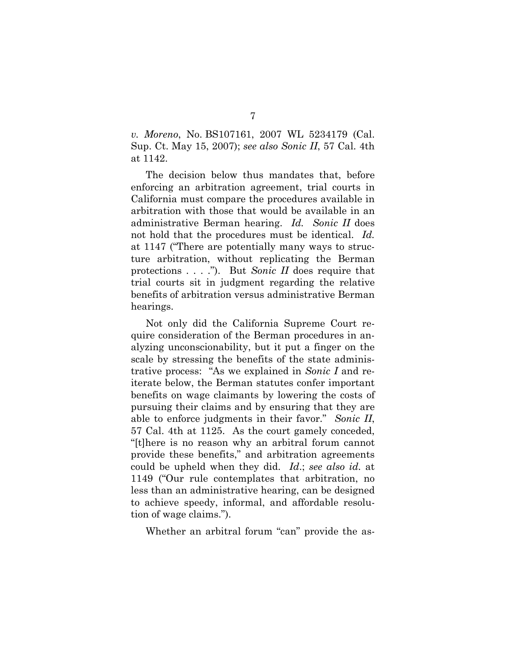*v. Moreno*, No. BS107161, 2007 WL 5234179 (Cal. Sup. Ct. May 15, 2007); *see also Sonic II*, 57 Cal. 4th at 1142.

The decision below thus mandates that, before enforcing an arbitration agreement, trial courts in California must compare the procedures available in arbitration with those that would be available in an administrative Berman hearing. *Id. Sonic II* does not hold that the procedures must be identical. *Id.* at 1147 ("There are potentially many ways to structure arbitration, without replicating the Berman protections . . . ."). But *Sonic II* does require that trial courts sit in judgment regarding the relative benefits of arbitration versus administrative Berman hearings.

Not only did the California Supreme Court require consideration of the Berman procedures in analyzing unconscionability, but it put a finger on the scale by stressing the benefits of the state administrative process: "As we explained in *Sonic I* and reiterate below, the Berman statutes confer important benefits on wage claimants by lowering the costs of pursuing their claims and by ensuring that they are able to enforce judgments in their favor." *Sonic II*, 57 Cal. 4th at 1125. As the court gamely conceded, "[t]here is no reason why an arbitral forum cannot provide these benefits," and arbitration agreements could be upheld when they did. *Id*.; *see also id.* at 1149 ("Our rule contemplates that arbitration, no less than an administrative hearing, can be designed to achieve speedy, informal, and affordable resolution of wage claims.").

Whether an arbitral forum "can" provide the as-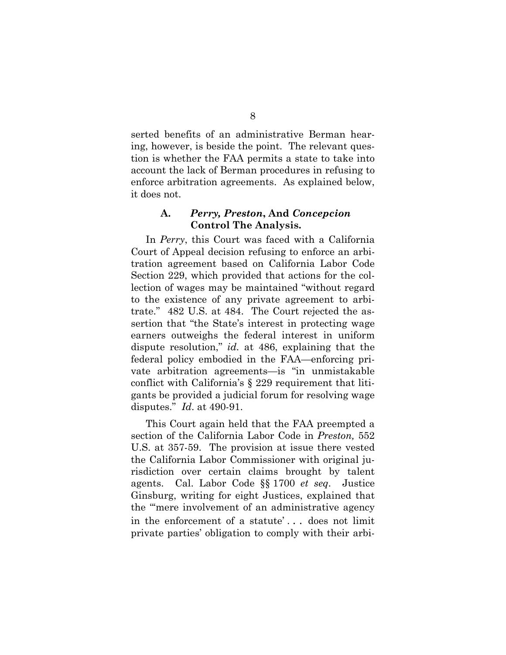serted benefits of an administrative Berman hearing, however, is beside the point. The relevant question is whether the FAA permits a state to take into account the lack of Berman procedures in refusing to enforce arbitration agreements. As explained below, it does not.

## **A.** *Perry, Preston***, And** *Concepcion* **Control The Analysis.**

In *Perry*, this Court was faced with a California Court of Appeal decision refusing to enforce an arbitration agreement based on California Labor Code Section 229, which provided that actions for the collection of wages may be maintained "without regard to the existence of any private agreement to arbitrate." 482 U.S. at 484. The Court rejected the assertion that "the State's interest in protecting wage earners outweighs the federal interest in uniform dispute resolution," *id.* at 486, explaining that the federal policy embodied in the FAA—enforcing private arbitration agreements—is "in unmistakable conflict with California's § 229 requirement that litigants be provided a judicial forum for resolving wage disputes." *Id*. at 490-91.

This Court again held that the FAA preempted a section of the California Labor Code in *Preston,* 552 U.S. at 357-59. The provision at issue there vested the California Labor Commissioner with original jurisdiction over certain claims brought by talent agents. Cal. Labor Code §§ 1700 *et seq*. Justice Ginsburg, writing for eight Justices, explained that the "'mere involvement of an administrative agency in the enforcement of a statute' . . . does not limit private parties' obligation to comply with their arbi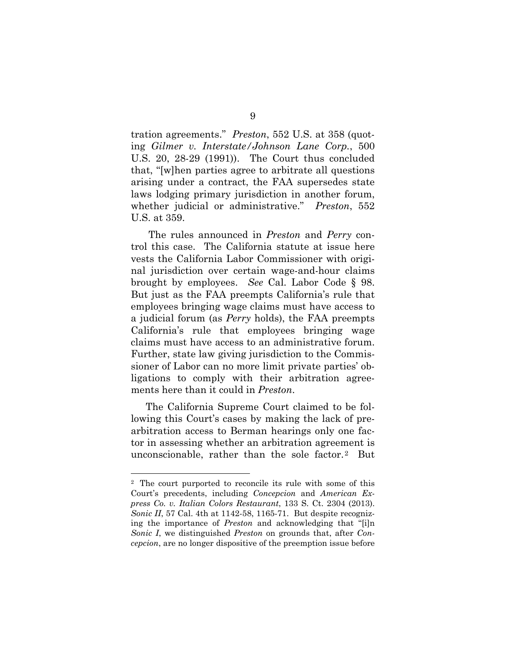tration agreements." *Preston*, 552 U.S. at 358 (quoting *Gilmer v. Interstate/Johnson Lane Corp.*, 500 U.S. 20, 28-29 (1991)). The Court thus concluded that, "[w]hen parties agree to arbitrate all questions arising under a contract, the FAA supersedes state laws lodging primary jurisdiction in another forum, whether judicial or administrative." *Preston*, 552 U.S. at 359.

 The rules announced in *Preston* and *Perry* control this case. The California statute at issue here vests the California Labor Commissioner with original jurisdiction over certain wage-and-hour claims brought by employees. *See* Cal. Labor Code § 98. But just as the FAA preempts California's rule that employees bringing wage claims must have access to a judicial forum (as *Perry* holds), the FAA preempts California's rule that employees bringing wage claims must have access to an administrative forum. Further, state law giving jurisdiction to the Commissioner of Labor can no more limit private parties' obligations to comply with their arbitration agreements here than it could in *Preston*.

The California Supreme Court claimed to be following this Court's cases by making the lack of prearbitration access to Berman hearings only one factor in assessing whether an arbitration agreement is unconscionable, rather than the sole factor.2 But

<sup>2</sup> The court purported to reconcile its rule with some of this Court's precedents, including *Concepcion* and *American Express Co. v. Italian Colors Restaurant*, 133 S. Ct. 2304 (2013). *Sonic II*, 57 Cal. 4th at 1142-58, 1165-71. But despite recognizing the importance of *Preston* and acknowledging that "[i]n *Sonic I*, we distinguished *Preston* on grounds that, after *Concepcion*, are no longer dispositive of the preemption issue before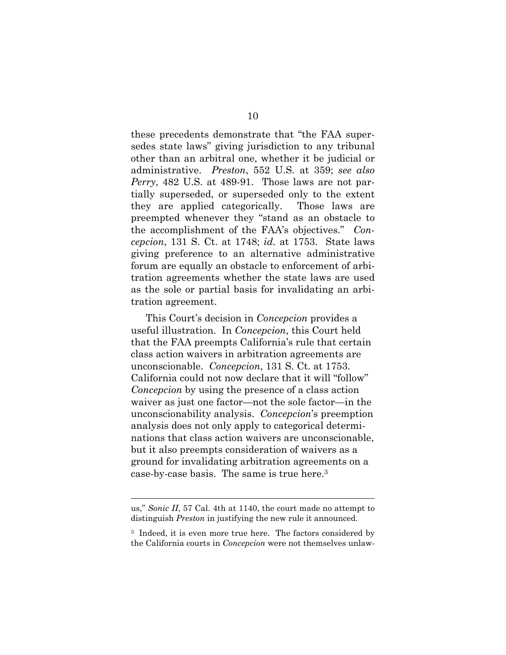these precedents demonstrate that "the FAA supersedes state laws" giving jurisdiction to any tribunal other than an arbitral one, whether it be judicial or administrative. *Preston*, 552 U.S. at 359; *see also Perry*, 482 U.S. at 489-91. Those laws are not partially superseded, or superseded only to the extent they are applied categorically. Those laws are preempted whenever they "stand as an obstacle to the accomplishment of the FAA's objectives." *Concepcion*, 131 S. Ct. at 1748; *id.* at 1753. State laws giving preference to an alternative administrative forum are equally an obstacle to enforcement of arbitration agreements whether the state laws are used as the sole or partial basis for invalidating an arbitration agreement.

This Court's decision in *Concepcion* provides a useful illustration. In *Concepcion*, this Court held that the FAA preempts California's rule that certain class action waivers in arbitration agreements are unconscionable. *Concepcion*, 131 S. Ct. at 1753. California could not now declare that it will "follow" *Concepcion* by using the presence of a class action waiver as just one factor—not the sole factor—in the unconscionability analysis. *Concepcion*'s preemption analysis does not only apply to categorical determinations that class action waivers are unconscionable, but it also preempts consideration of waivers as a ground for invalidating arbitration agreements on a case-by-case basis. The same is true here.3

us," *Sonic II*, 57 Cal. 4th at 1140, the court made no attempt to distinguish *Preston* in justifying the new rule it announced.

<sup>3</sup> Indeed, it is even more true here. The factors considered by the California courts in *Concepcion* were not themselves unlaw-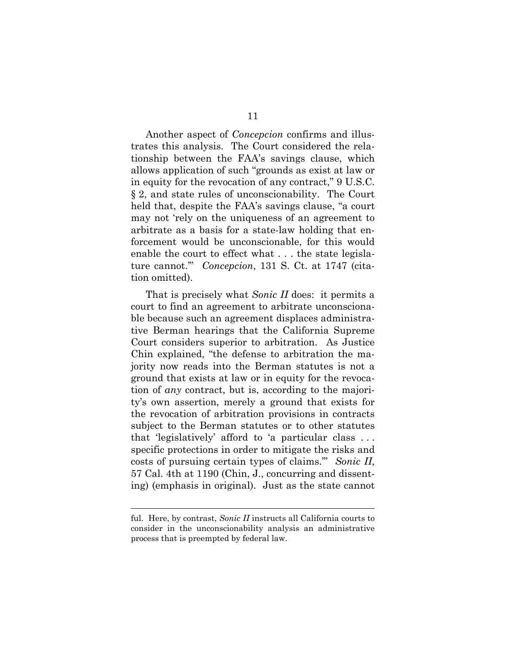Another aspect of *Concepcion* confirms and illustrates this analysis. The Court considered the relationship between the FAA's savings clause, which allows application of such "grounds as exist at law or in equity for the revocation of any contract," 9 U.S.C. § 2, and state rules of unconscionability. The Court held that, despite the FAA's savings clause, "a court may not 'rely on the uniqueness of an agreement to arbitrate as a basis for a state-law holding that enforcement would be unconscionable, for this would enable the court to effect what . . . the state legislature cannot.'" *Concepcion*, 131 S. Ct. at 1747 (citation omitted).

That is precisely what *Sonic II* does: it permits a court to find an agreement to arbitrate unconscionable because such an agreement displaces administrative Berman hearings that the California Supreme Court considers superior to arbitration. As Justice Chin explained, "the defense to arbitration the majority now reads into the Berman statutes is not a ground that exists at law or in equity for the revocation of *any* contract, but is, according to the majority's own assertion, merely a ground that exists for the revocation of arbitration provisions in contracts subject to the Berman statutes or to other statutes that 'legislatively' afford to 'a particular class . . . specific protections in order to mitigate the risks and costs of pursuing certain types of claims.'" *Sonic II*, 57 Cal. 4th at 1190 (Chin, J., concurring and dissenting) (emphasis in original). Just as the state cannot

ful. Here, by contrast, *Sonic II* instructs all California courts to consider in the unconscionability analysis an administrative process that is preempted by federal law.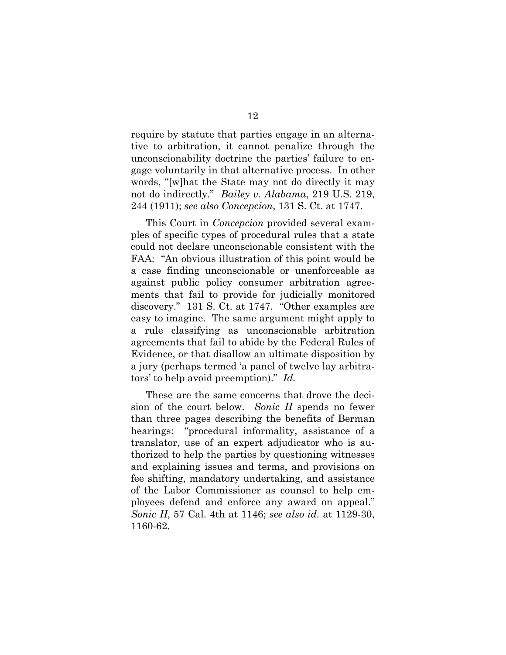require by statute that parties engage in an alternative to arbitration, it cannot penalize through the unconscionability doctrine the parties' failure to engage voluntarily in that alternative process. In other words, "[w]hat the State may not do directly it may not do indirectly." *Bailey v. Alabama*, 219 U.S. 219, 244 (1911); *see also Concepcion*, 131 S. Ct. at 1747.

This Court in *Concepcion* provided several examples of specific types of procedural rules that a state could not declare unconscionable consistent with the FAA: "An obvious illustration of this point would be a case finding unconscionable or unenforceable as against public policy consumer arbitration agreements that fail to provide for judicially monitored discovery." 131 S. Ct. at 1747. "Other examples are easy to imagine. The same argument might apply to a rule classifying as unconscionable arbitration agreements that fail to abide by the Federal Rules of Evidence, or that disallow an ultimate disposition by a jury (perhaps termed 'a panel of twelve lay arbitrators' to help avoid preemption)." *Id.*

These are the same concerns that drove the decision of the court below. *Sonic II* spends no fewer than three pages describing the benefits of Berman hearings: "procedural informality, assistance of a translator, use of an expert adjudicator who is authorized to help the parties by questioning witnesses and explaining issues and terms, and provisions on fee shifting, mandatory undertaking, and assistance of the Labor Commissioner as counsel to help employees defend and enforce any award on appeal." *Sonic II*, 57 Cal. 4th at 1146; *see also id.* at 1129-30, 1160-62.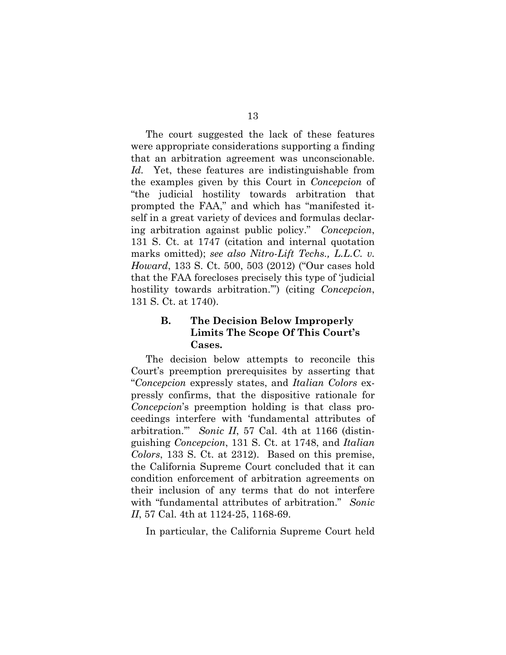The court suggested the lack of these features were appropriate considerations supporting a finding that an arbitration agreement was unconscionable. *Id.* Yet, these features are indistinguishable from the examples given by this Court in *Concepcion* of "the judicial hostility towards arbitration that prompted the FAA," and which has "manifested itself in a great variety of devices and formulas declaring arbitration against public policy." *Concepcion*, 131 S. Ct. at 1747 (citation and internal quotation marks omitted); *see also Nitro-Lift Techs., L.L.C. v. Howard*, 133 S. Ct. 500, 503 (2012) ("Our cases hold that the FAA forecloses precisely this type of 'judicial hostility towards arbitration.'") (citing *Concepcion*, 131 S. Ct. at 1740).

## **B. The Decision Below Improperly Limits The Scope Of This Court's Cases.**

The decision below attempts to reconcile this Court's preemption prerequisites by asserting that "*Concepcion* expressly states, and *Italian Colors* expressly confirms, that the dispositive rationale for *Concepcion*'s preemption holding is that class proceedings interfere with 'fundamental attributes of arbitration.'" *Sonic II*, 57 Cal. 4th at 1166 (distinguishing *Concepcion*, 131 S. Ct. at 1748, and *Italian Colors*, 133 S. Ct. at 2312). Based on this premise, the California Supreme Court concluded that it can condition enforcement of arbitration agreements on their inclusion of any terms that do not interfere with "fundamental attributes of arbitration." *Sonic II*, 57 Cal. 4th at 1124-25, 1168-69.

In particular, the California Supreme Court held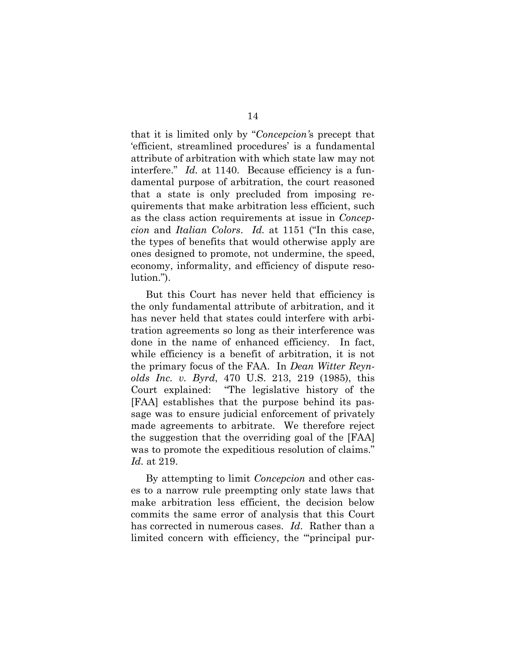that it is limited only by "*Concepcion'*s precept that 'efficient, streamlined procedures' is a fundamental attribute of arbitration with which state law may not interfere." *Id.* at 1140. Because efficiency is a fundamental purpose of arbitration, the court reasoned that a state is only precluded from imposing requirements that make arbitration less efficient, such as the class action requirements at issue in *Concepcion* and *Italian Colors*. *Id.* at 1151 ("In this case, the types of benefits that would otherwise apply are ones designed to promote, not undermine, the speed, economy, informality, and efficiency of dispute resolution.").

But this Court has never held that efficiency is the only fundamental attribute of arbitration, and it has never held that states could interfere with arbitration agreements so long as their interference was done in the name of enhanced efficiency. In fact, while efficiency is a benefit of arbitration, it is not the primary focus of the FAA. In *Dean Witter Reynolds Inc. v. Byrd*, 470 U.S. 213, 219 (1985), this Court explained: "The legislative history of the [FAA] establishes that the purpose behind its passage was to ensure judicial enforcement of privately made agreements to arbitrate. We therefore reject the suggestion that the overriding goal of the [FAA] was to promote the expeditious resolution of claims." *Id.* at 219.

By attempting to limit *Concepcion* and other cases to a narrow rule preempting only state laws that make arbitration less efficient, the decision below commits the same error of analysis that this Court has corrected in numerous cases. *Id*. Rather than a limited concern with efficiency, the ""principal pur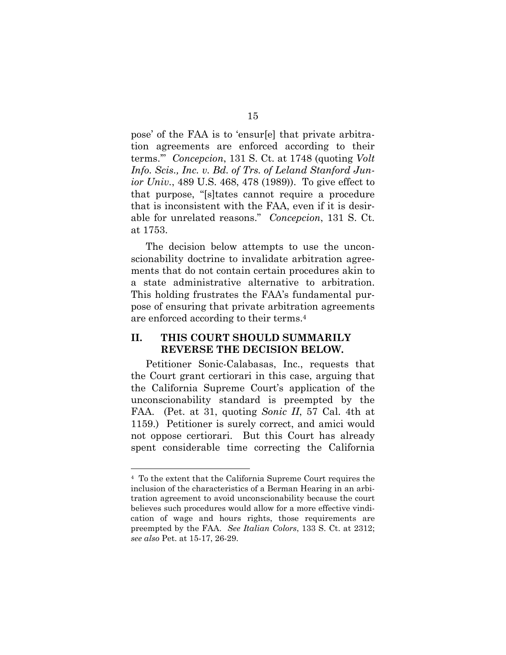pose' of the FAA is to 'ensur[e] that private arbitration agreements are enforced according to their terms.'" *Concepcion*, 131 S. Ct. at 1748 (quoting *Volt Info. Scis., Inc. v. Bd. of Trs. of Leland Stanford Junior Univ.*, 489 U.S. 468, 478 (1989)). To give effect to that purpose, "[s]tates cannot require a procedure that is inconsistent with the FAA, even if it is desirable for unrelated reasons." *Concepcion*, 131 S. Ct. at 1753.

The decision below attempts to use the unconscionability doctrine to invalidate arbitration agreements that do not contain certain procedures akin to a state administrative alternative to arbitration. This holding frustrates the FAA's fundamental purpose of ensuring that private arbitration agreements are enforced according to their terms.4

### **II. THIS COURT SHOULD SUMMARILY REVERSE THE DECISION BELOW.**

Petitioner Sonic-Calabasas, Inc., requests that the Court grant certiorari in this case, arguing that the California Supreme Court's application of the unconscionability standard is preempted by the FAA. (Pet. at 31, quoting *Sonic II*, 57 Cal. 4th at 1159.) Petitioner is surely correct, and amici would not oppose certiorari. But this Court has already spent considerable time correcting the California

<sup>4</sup> To the extent that the California Supreme Court requires the inclusion of the characteristics of a Berman Hearing in an arbitration agreement to avoid unconscionability because the court believes such procedures would allow for a more effective vindication of wage and hours rights, those requirements are preempted by the FAA. *See Italian Colors*, 133 S. Ct. at 2312; *see also* Pet. at 15-17, 26-29.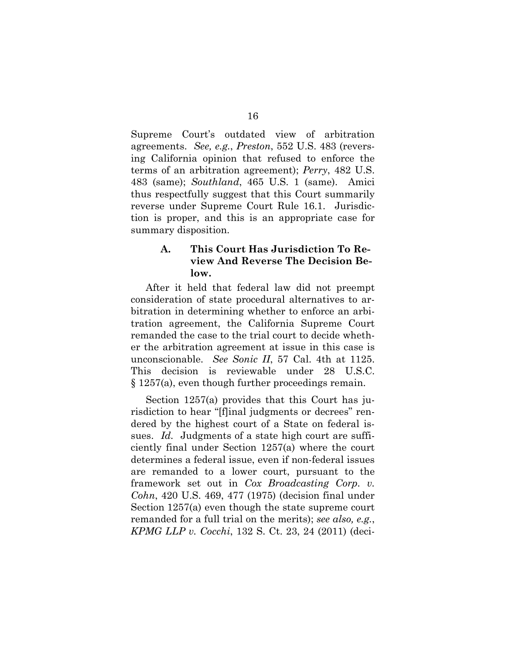Supreme Court's outdated view of arbitration agreements. *See, e.g.*, *Preston*, 552 U.S. 483 (reversing California opinion that refused to enforce the terms of an arbitration agreement); *Perry*, 482 U.S. 483 (same); *Southland*, 465 U.S. 1 (same). Amici thus respectfully suggest that this Court summarily reverse under Supreme Court Rule 16.1. Jurisdiction is proper, and this is an appropriate case for summary disposition.

## **A. This Court Has Jurisdiction To Review And Reverse The Decision Below.**

After it held that federal law did not preempt consideration of state procedural alternatives to arbitration in determining whether to enforce an arbitration agreement, the California Supreme Court remanded the case to the trial court to decide whether the arbitration agreement at issue in this case is unconscionable. *See Sonic II*, 57 Cal. 4th at 1125. This decision is reviewable under 28 U.S.C. § 1257(a), even though further proceedings remain.

Section 1257(a) provides that this Court has jurisdiction to hear "[f]inal judgments or decrees" rendered by the highest court of a State on federal issues. *Id.* Judgments of a state high court are sufficiently final under Section 1257(a) where the court determines a federal issue, even if non-federal issues are remanded to a lower court, pursuant to the framework set out in *Cox Broadcasting Corp. v. Cohn*, 420 U.S. 469, 477 (1975) (decision final under Section 1257(a) even though the state supreme court remanded for a full trial on the merits); *see also, e.g.*, *KPMG LLP v. Cocchi*, 132 S. Ct. 23, 24 (2011) (deci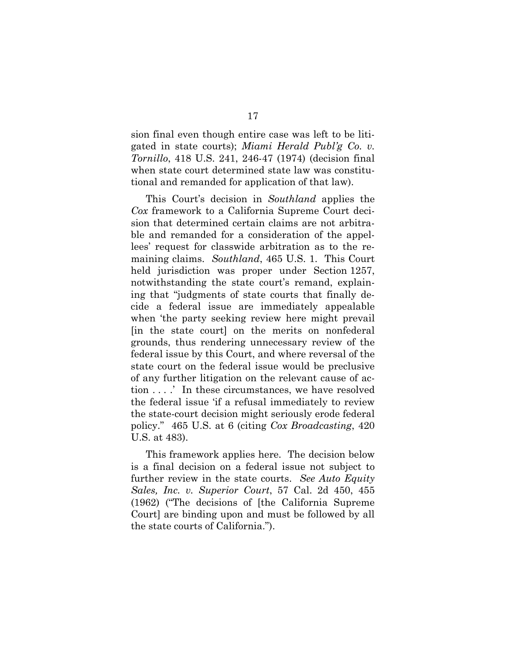sion final even though entire case was left to be litigated in state courts); *Miami Herald Publ'g Co. v. Tornillo*, 418 U.S. 241, 246-47 (1974) (decision final when state court determined state law was constitutional and remanded for application of that law).

This Court's decision in *Southland* applies the *Cox* framework to a California Supreme Court decision that determined certain claims are not arbitrable and remanded for a consideration of the appellees' request for classwide arbitration as to the remaining claims. *Southland*, 465 U.S. 1. This Court held jurisdiction was proper under Section 1257, notwithstanding the state court's remand, explaining that "judgments of state courts that finally decide a federal issue are immediately appealable when 'the party seeking review here might prevail [in the state court] on the merits on nonfederal grounds, thus rendering unnecessary review of the federal issue by this Court, and where reversal of the state court on the federal issue would be preclusive of any further litigation on the relevant cause of action . . . .' In these circumstances, we have resolved the federal issue 'if a refusal immediately to review the state-court decision might seriously erode federal policy." 465 U.S. at 6 (citing *Cox Broadcasting*, 420 U.S. at 483).

This framework applies here. The decision below is a final decision on a federal issue not subject to further review in the state courts. *See Auto Equity Sales, Inc. v. Superior Court*, 57 Cal. 2d 450, 455 (1962) ("The decisions of [the California Supreme Court] are binding upon and must be followed by all the state courts of California.").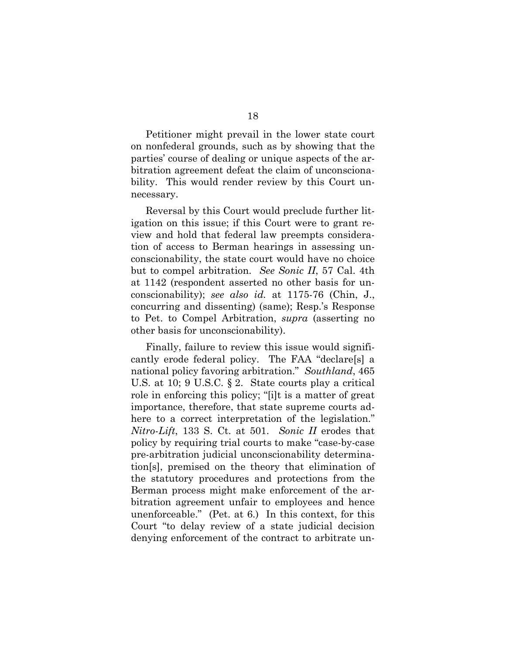Petitioner might prevail in the lower state court on nonfederal grounds, such as by showing that the parties' course of dealing or unique aspects of the arbitration agreement defeat the claim of unconscionability. This would render review by this Court unnecessary.

Reversal by this Court would preclude further litigation on this issue; if this Court were to grant review and hold that federal law preempts consideration of access to Berman hearings in assessing unconscionability, the state court would have no choice but to compel arbitration. *See Sonic II*, 57 Cal. 4th at 1142 (respondent asserted no other basis for unconscionability); *see also id.* at 1175-76 (Chin, J., concurring and dissenting) (same); Resp.'s Response to Pet. to Compel Arbitration, *supra* (asserting no other basis for unconscionability).

Finally, failure to review this issue would significantly erode federal policy. The FAA "declare[s] a national policy favoring arbitration." *Southland*, 465 U.S. at 10; 9 U.S.C. § 2. State courts play a critical role in enforcing this policy; "[i]t is a matter of great importance, therefore, that state supreme courts adhere to a correct interpretation of the legislation." *Nitro-Lift*, 133 S. Ct. at 501. *Sonic II* erodes that policy by requiring trial courts to make "case-by-case pre-arbitration judicial unconscionability determination[s], premised on the theory that elimination of the statutory procedures and protections from the Berman process might make enforcement of the arbitration agreement unfair to employees and hence unenforceable." (Pet. at 6.) In this context, for this Court "to delay review of a state judicial decision denying enforcement of the contract to arbitrate un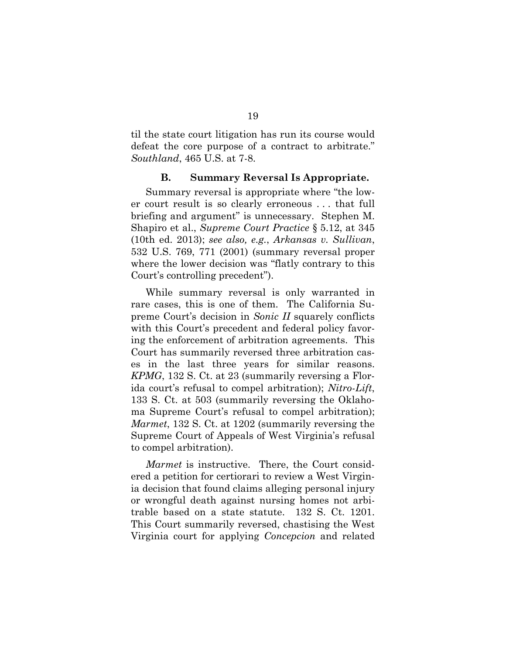til the state court litigation has run its course would defeat the core purpose of a contract to arbitrate." *Southland*, 465 U.S. at 7-8.

### **B. Summary Reversal Is Appropriate.**

Summary reversal is appropriate where "the lower court result is so clearly erroneous . . . that full briefing and argument" is unnecessary. Stephen M. Shapiro et al., *Supreme Court Practice* § 5.12, at 345 (10th ed. 2013); *see also, e.g.*, *Arkansas v. Sullivan*, 532 U.S. 769, 771 (2001) (summary reversal proper where the lower decision was "flatly contrary to this Court's controlling precedent").

While summary reversal is only warranted in rare cases, this is one of them. The California Supreme Court's decision in *Sonic II* squarely conflicts with this Court's precedent and federal policy favoring the enforcement of arbitration agreements. This Court has summarily reversed three arbitration cases in the last three years for similar reasons. *KPMG*, 132 S. Ct. at 23 (summarily reversing a Florida court's refusal to compel arbitration); *Nitro-Lift*, 133 S. Ct. at 503 (summarily reversing the Oklahoma Supreme Court's refusal to compel arbitration); *Marmet*, 132 S. Ct. at 1202 (summarily reversing the Supreme Court of Appeals of West Virginia's refusal to compel arbitration).

*Marmet* is instructive. There, the Court considered a petition for certiorari to review a West Virginia decision that found claims alleging personal injury or wrongful death against nursing homes not arbitrable based on a state statute. 132 S. Ct. 1201. This Court summarily reversed, chastising the West Virginia court for applying *Concepcion* and related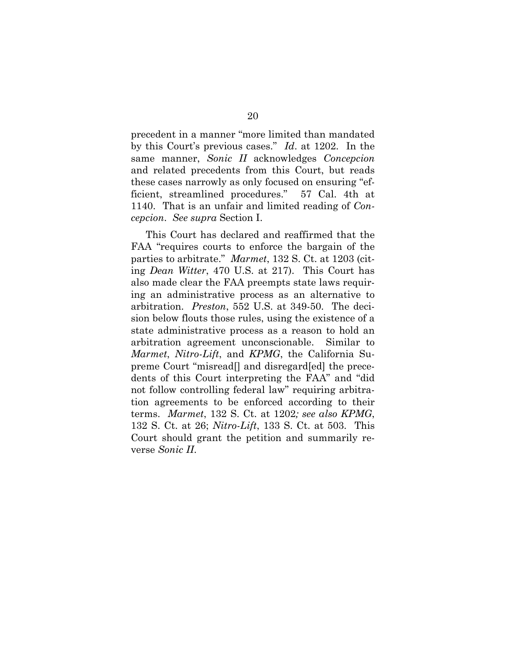precedent in a manner "more limited than mandated by this Court's previous cases." *Id*. at 1202. In the same manner, *Sonic II* acknowledges *Concepcion*  and related precedents from this Court, but reads these cases narrowly as only focused on ensuring "efficient, streamlined procedures." 57 Cal. 4th at 1140. That is an unfair and limited reading of *Concepcion*. *See supra* Section I.

This Court has declared and reaffirmed that the FAA "requires courts to enforce the bargain of the parties to arbitrate." *Marmet*, 132 S. Ct. at 1203 (citing *Dean Witter*, 470 U.S. at 217). This Court has also made clear the FAA preempts state laws requiring an administrative process as an alternative to arbitration. *Preston*, 552 U.S. at 349-50. The decision below flouts those rules, using the existence of a state administrative process as a reason to hold an arbitration agreement unconscionable. Similar to *Marmet*, *Nitro-Lift*, and *KPMG*, the California Supreme Court "misread[] and disregard[ed] the precedents of this Court interpreting the FAA" and "did not follow controlling federal law" requiring arbitration agreements to be enforced according to their terms. *Marmet*, 132 S. Ct. at 1202*; see also KPMG*, 132 S. Ct. at 26; *Nitro-Lift*, 133 S. Ct. at 503. This Court should grant the petition and summarily reverse *Sonic II*.